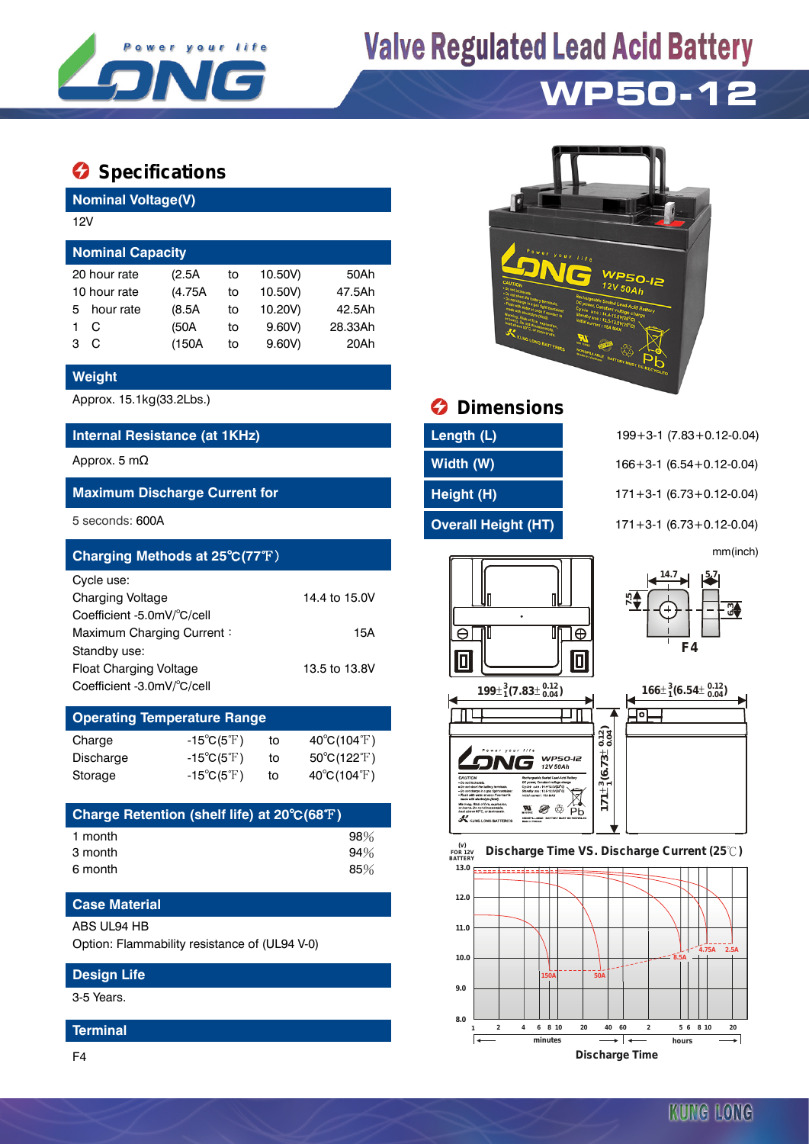

# **Valve Regulated Lead Acid Battery**

# **WP50-12**

### $\bullet$  Specifications

**Nominal Voltage(V)**

| 12V                     |              |         |    |         |         |  |  |  |  |  |
|-------------------------|--------------|---------|----|---------|---------|--|--|--|--|--|
| <b>Nominal Capacity</b> |              |         |    |         |         |  |  |  |  |  |
|                         | 20 hour rate | (2.5A)  | to | 10.50V) | 50Ah    |  |  |  |  |  |
| 10 hour rate            |              | (4.75A) | to | 10.50V) | 47.5Ah  |  |  |  |  |  |
| 5.                      | hour rate    | (8.5A)  | to | 10.20V) | 42.5Ah  |  |  |  |  |  |
|                         | C            | (50A    | to | 9.60V   | 28.33Ah |  |  |  |  |  |
| з                       | C            | (150A)  | to | 9.60V   | 20Ah    |  |  |  |  |  |
|                         |              |         |    |         |         |  |  |  |  |  |

#### **Weight**

#### **Internal Resistance (at 1KHz) Length (L)** 199+3-1 (7.83+0.12-0.04)

#### **Maximum Discharge Current for Height (H)** 171+3-1 (6.73+0.12-0.04)

| Charging Methods at 25°C(77°F)        |               |                  | mm(inch)         |  |  |
|---------------------------------------|---------------|------------------|------------------|--|--|
| Cycle use:<br><b>Charging Voltage</b> | 14.4 to 15.0V |                  | 14.7<br>5.7      |  |  |
| Coefficient -5.0mV/°C/cell            |               |                  | ന⊿<br>⊽ت         |  |  |
| Maximum Charging Current:             | 15A           | ١Ð<br>JN         |                  |  |  |
| Standby use:                          |               |                  | F4               |  |  |
| Float Charging Voltage                | 13.5 to 13.8V |                  |                  |  |  |
| Coefficient -3.0mV/°C/cell            |               | $100+3/702+0.12$ | $466+36654+0.12$ |  |  |

## **Operating Temperature Range**

| Charge    | $-15^{\circ}C(5^{\circ}F)$ | to | $40^{\circ}$ C(104 $^{\circ}$ F)      |
|-----------|----------------------------|----|---------------------------------------|
| Discharge | $-15^{\circ}C(5^{\circ}F)$ | to | $50^{\circ}$ C(122 $\rm \mathbb{F}$ ) |
| Storage   | $-15^{\circ}C(5^{\circ}F)$ | to | $40^{\circ}$ C(104 $^{\circ}$ F)      |

| Charge Retention (shelf life) at 20°C(68°F) |     |
|---------------------------------------------|-----|
| 1 month                                     | 98% |
| 3 month                                     | 94% |
| 6 month                                     | 85% |

#### **Case Material**

#### ABS UL94 HB

Option: Flammability resistance of (UL94 V-0)

#### **Design Life**

3-5 Years.

#### **Terminal**

F4



### Approx. 15.1kg(33.2Lbs.) **Dimensions**

| Length (L)         |
|--------------------|
| Width (W)          |
| Height (H)         |
| Overall Height (HT |

Approx. 5 mΩ **Width (W)** 166+3-1 (6.54+0.12-0.04) 5 seconds: 600A **Overall Height (HT)** 171+3-1 (6.73+0.12-0.04)













KUNG LONG